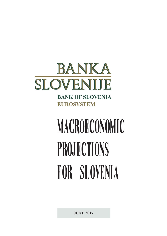

**BANK OF SLOVENIA EUROSYSTEM** 

# MACROECONOMIC PROJECTIONS FOR SLOVENIA

**JUNE 2017**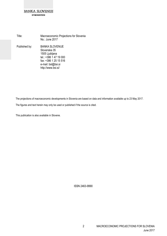**EVROSISTEM** 

Title: Macroeconomic Projections for Slovenia No.: June 2017 Published by: BANKA SLOVENIJE Slovenska 35 1505 Ljubljana tel.: +386 1 47 19 000 fax: +386 1 25 15 516 e-mail: bsl@bsi.si http://www.bsi.si/

The projections of macroeconomic developments in Slovenia are based on data and information available up to 23 May 2017.

The figures and text herein may only be used or published if the source is cited.

This publication is also available in Slovene.

ISSN 2463-9990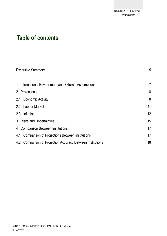

# **Table of contents**

| <b>Executive Summary</b>                                   | 5  |
|------------------------------------------------------------|----|
| 1 International Environment and External Assumptions       | 7  |
| 2 Projections                                              | 8  |
| 2.1 Economic Activity                                      | 8  |
| 2.2 Labour Market                                          | 11 |
| 2.3 Inflation                                              | 12 |
| 3 Risks and Uncertainties                                  | 15 |
| 4 Comparison Between Institutions                          | 17 |
| Comparison of Projections Between Institutions<br>4.1      | 17 |
| 4.2 Comparison of Projection Accuracy Between Institutions | 18 |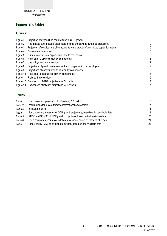

**EVROSISTEM** 

### **Figures and tables:**

### **Figures:**

| Figure1   | Projection of expenditure contributions to GDP growth                                    | 9  |
|-----------|------------------------------------------------------------------------------------------|----|
| Figure 2  | Real private consumption, disposable income and savings dynamics projections             | g  |
| Figure 3  | Projection of contributions of components to the growth of gross fixed capital formation | 10 |
| Figure 4  | Government investment                                                                    | 10 |
| Figure 5  | Current account, real exports and imports projections                                    | 10 |
| Figure 6  | Revision of GDP projection by components                                                 | 11 |
| Figure 7  | Unemployment rate projections                                                            | 11 |
| Figure 8  | Projections of growth in employment and compensation per employee                        | 12 |
| Figure 9  | Projections of contributions to inflation by components                                  | 12 |
| Figure 10 | Revision of inflation projection by components                                           | 13 |
| Figure 11 | Risks to the projections                                                                 | 15 |
|           | Figure 12 Comparison of GDP projections for Slovenia                                     | 17 |
|           | Figure 13 Comparison of inflation projections for Slovenia                               | 17 |

### **Tables**

| Table 1 | Macroeconomic projections for Slovenia, 2017–2019                                | 6  |
|---------|----------------------------------------------------------------------------------|----|
| Table 2 | Assumptions for factors from the international environment                       |    |
| Table 3 | Inflation projection                                                             | 13 |
| Table 4 | Basic accuracy measures of GDP growth projections, based on first available data | 19 |
| Table 5 | RMSE and SRMSE of GDP growth projections, based on first available data          | 20 |
| Table 6 | Basic accuracy measures of inflation projections, based on first available data  | 21 |
| Table 7 | RMSE and SRMSE of inflation projections, based on first available data           | 22 |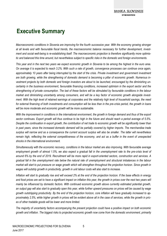## **Executive Summary**

*Macroeconomic conditions in Slovenia are improving for the fourth successive year. With the economy growing stronger at all levels and with favourable fiscal trends, the macroeconomic balance necessary for further development, investment and social well-being is re-establishing itself. The macroeconomic projection is therefore significantly more optimistic and balanced this time around, but nevertheless subject to specific risks in the domestic and foreign environments.*

*This year and in the next two years we expect economic growth in Slovenia to be among the highest in the euro area. On average it is expected to reach 3.2%. With such a rate of growth, convergence processes can continue once again,*  approximately 10 years after being interrupted by the start of the crisis. Private investment and government investment *are both growing, while the strengthening of domestic demand is becoming a pillar of economic growth. Numerous investment projects by both domestic and foreign investors are about to be launched, encouraged by the diminishing uncertainty in the business environment, favourable financing conditions, increased optimism in the export sector and the strengthening of private consumption. The last of these factors will be stimulated by favourable conditions in the labour market and diminishing uncertainty among consumers, and will be a key factor of economic growth alongside investment. With the high level of retained earnings at corporates and the relatively high level of household savings, the need for external financing of both investments and consumption will be less than in the pre-crisis period, the growth in loans will be more moderate and economic growth will be more sustainable.*

*With the improvement in conditions in the international environment, the growth in foreign demand and thus of the export sector continues. Export growth will thus continue to be high in the future and should reach a period average of 5.5%. Despite the continuation in export growth, the contribution of net trade to economic growth will be significantly lower than in past years, since the increased domestic demand will be partially covered by higher imports. The merchandise trade surplus will narrow and as a consequence the current account surplus will also be smaller. The latter will nevertheless remain high, reflecting the external competitiveness of the economy, and act as a buffer in the event of unexpected shocks in the international environment.*

*Simultaneously with the economic recovery, conditions in the labour market are also improving. With favourable average*  employment growth of almost 1.5%, we also expect a gradual fall in the unemployment rate to the pre-crisis level of *around 6% by the end of 2019. Recruitment will be more rapid in export-oriented sectors, construction and services. A gradual fall in the unemployment rate below the natural rate of unemployment and structural imbalances in the labour market will start to put pressure on wage growth which will strengthen throughout the projection horizon. Since growth in wages will outstrip growth in productivity, growth in unit labour costs will also start to increase.* 

*Inflation will start to gradually rise and will exceed 2% at the end of the projection horizon. If the base effects in energy* and food prices are set to have a significant impact on inflation this year, the growth in prices over the next two years will *mainly be influenced by domestic factors. With continued economic growth above currently estimated potential growth, an output gap will also start to gradually open this year, while further upward pressures on prices will be caused by wage growth outstripping productivity. By the end of the projection horizon, core inflation will have gradually increased to approximately 2.5%, while higher growth in prices will be evident above all in the case of services, while the growth in prices of other tradable goods will be lower and more limited.* 

*The majority of uncertainty factors accompanying the present projection could have a positive impact on both economic growth and inflation. The biggest risks to projected economic growth now come from the domestic environment, primarily*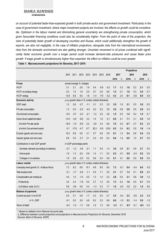**EVROSISTEM** 

*on account of potential faster-than-expected growth in both private-sector and government investment. Particularly in the case of government investment, where major investment projects are involved, the effects on growth could be considerable. Optimism in the labour market and diminishing general uncertainty are strengthening private consumption, which given favourable financing conditions could also be considerably higher. From the point of view of the projection, the*  risks of potentially faster growth of developing countries and Russia, which could additionally strengthen the growth of *exports, are also not negligible. In the case of inflation projections, alongside risks from the international environment, risks from the domestic environment are also getting stronger. Uncertain movement in oil prices combined with significantly faster economic growth over a longer period could increase demand-side pressures and cause faster price growth. If wage growth is simultaneously higher than expected, the effect on inflation could be even greater.*

|                                                                                                                                                                                                              |         |         |                                                   |        |        |        |         | Projections |        |        |        |      |        |
|--------------------------------------------------------------------------------------------------------------------------------------------------------------------------------------------------------------|---------|---------|---------------------------------------------------|--------|--------|--------|---------|-------------|--------|--------|--------|------|--------|
|                                                                                                                                                                                                              | 2010    | 2011    | 2012                                              | 2013   | 2014   | 2015   | 2016    | 2017        |        | 2018   |        | 2019 |        |
|                                                                                                                                                                                                              |         |         |                                                   |        |        |        |         | June        | Δ      | June   | Δ      | June | Δ      |
| <b>Prices</b>                                                                                                                                                                                                |         |         | annual average % changes                          |        |        |        |         |             |        |        |        |      |        |
| <b>HICP</b>                                                                                                                                                                                                  | 2.1     | 2.1     | 2.8                                               | 1.9    | 0.4    | $-0.8$ | $-0.2$  | 1.7         | 0.3    | 1.6    | 0.2    | 2.1  | 0.5    |
| HICP excluding energy                                                                                                                                                                                        | 0.3     | 1.0     | 1.8                                               | 2.0    | 0.7    | 0.5    | 0.6     | 1.4         | 0.1    | 1.8    | 0.3    | 2.4  | 0.7    |
| HICP energy                                                                                                                                                                                                  | 13.9    | 8.8     | 9.0                                               | 1.8    | $-1.4$ | $-7.8$ | $-5.2$  | 4.3         | 2.4    | 0.1    | $-0.6$ | 0.0  | $-0.4$ |
| <b>Economic activity</b>                                                                                                                                                                                     |         |         | y-o-y growth rates in % (unless stated otherwise) |        |        |        |         |             |        |        |        |      |        |
| GDP (real)                                                                                                                                                                                                   | 1.2     | 0.6     | $-2.7$                                            | $-1.1$ | 3.1    | 2.3    | 2.5     | 3.5         | 1.0    | 3.1    | 0.5    | 3.0  | 0.5    |
| Private consumption                                                                                                                                                                                          | 1.3     | 0.0     | $-2.5$                                            | $-4.0$ | 2.0    | 0.5    | 2.8     | 3.0         | 0.8    | 2.8    | 0.5    | 2.6  | 0.3    |
| Government consumption                                                                                                                                                                                       | $-0.5$  | $-0.7$  | $-2.2$                                            | $-2.1$ | $-1.2$ | 2.5    | 2.6     | 1.5         | 0.3    | 1.4    | 0.2    | 1.5  | 0.1    |
| Gross fixed capital formation                                                                                                                                                                                | $-13.3$ | $-4.9$  | $-8.8$                                            | 3.2    | 1.4    | 1.0    | $-3.1$  | 6.5         | 2.1    | 7.1    | 3.1    | 5.5  | 1.8    |
| of which Private sector                                                                                                                                                                                      | $-16.0$ | $-1.0$  | $-9.9$                                            | 2.2    | $-3.8$ | 3.4    | 6.6     | 7.0         | 3.0    | 6.7    | 2.7    | 6.3  | 2.5    |
| of which Government sector                                                                                                                                                                                   | $-3.1$  | $-17.8$ | $-4.7$                                            | 6.7    | 20.3   | $-5.9$ | $-33.9$ | 6.2         | 0.4    | 9.3    | 5.5    | 1.6  | $-1.4$ |
| Exports (goods and services)                                                                                                                                                                                 | 10.2    | 6.9     | 0.6                                               | 3.1    | 5.7    | 5.6    | 5.9     | 6.1         | 1.2    | 5.4    | 0.6    | 5.4  | 0.8    |
| Imports (goods and services)                                                                                                                                                                                 | 6.8     | 5.0     | $-3.7$                                            | 2.1    | 4.2    | 4.6    | 6.2     | 6.4         | 1.4    | 6.0    | 1.0    | 5.7  | 0.8    |
| Contributions to real GDP growth                                                                                                                                                                             |         |         | in GDP percentage points                          |        |        |        |         |             |        |        |        |      |        |
| Domestic demand (excluding inventories)                                                                                                                                                                      | $-2.7$  | $-1.2$  | $-3.6$                                            | $-2.1$ | 1.1    | 0.9    | 1.4     | 3.0         | 0.8    | 3.1    | 0.9    | 2.7  | 0.5    |
| Net exports                                                                                                                                                                                                  | 1.9     | 1.3     | 2.8                                               | 0.8    | 1.4    | 1.1    | 0.3     | 0.3         | $-0.1$ | 0.0    | $-0.3$ | 0.2  | 0.0    |
| Changes in inventories                                                                                                                                                                                       | 1.9     | 0.6     | $-2.0$                                            | 0.2    | 0.6    | 0.4    | 0.8     | 0.1         | 0.1    | 0.0    | 0.0    | 0.0  | 0.0    |
| Labour market                                                                                                                                                                                                |         |         | y-o-y growth rates in % (unless stated otherwise) |        |        |        |         |             |        |        |        |      |        |
| Unemployment growth (% of labour force)                                                                                                                                                                      | 7.3     | 8.2     | 8.9                                               | 10.1   | 9.8    | 9.0    | 8.0     | 7.3         | $-0.1$ | 6.4    | $-0.4$ | 6.0  | $-0.2$ |
| Total employ ment                                                                                                                                                                                            | $-2.1$  | $-1.7$  | $-0.9$                                            | $-1.1$ | 0.4    | 1.1    | 2.0     | 2.1         | 0.7    | 1.3    | 0.1    | 0.9  | 0.0    |
| Compensation per employee                                                                                                                                                                                    | 4.0     | 1.5     | $-1.0$                                            | 0.5    | 1.3    | 1.4    | 2.2     | 2.8         | 0.0    | 3.1    | 0.6    | 3.6  | 1.2    |
| Productivity                                                                                                                                                                                                 | 3.4     | 2.4     | $-1.8$                                            | 0.0    | 2.7    | 1.2    | 0.5     | 1.3         | 0.2    | 1.8    | 0.5    | 2.1  | 0.5    |
| Unit labour costs (ULC)                                                                                                                                                                                      | 0.6     | $-0.8$  | 0.8                                               | 0.4    | $-1.3$ | 0.3    | 1.7     | 1.5         | $-0.2$ | 1.3    | 0.2    | 1.5  | 0.6    |
| <b>Balance of payments</b>                                                                                                                                                                                   |         |         | y-o-y growth rates in % (unless stated otherwise) |        |        |        |         |             |        |        |        |      |        |
| Current account: in bn EUR                                                                                                                                                                                   | 0.0     | 0.1     | 0.9                                               | 1.7    | 2.3    | 2.0    | 2.7     | 2.5         | $-0.4$ | 2.3    | $-0.6$ | 2.3  | $-0.5$ |
| in % GDP                                                                                                                                                                                                     | $-0.1$  | 0.2     | 2.6                                               | 4.8    | 6.2    | 5.2    | 6.8     | 6.0         | $-1.0$ | 5.3    | $-1.4$ | 5.0  | $-1.2$ |
| Terms of trade*                                                                                                                                                                                              | $-4.0$  | $-1.4$  | $-1.1$                                            | 0.8    | 1.0    | 1.3    | 0.8     | $-1.3$      | 0.1    | $-0.7$ | $-0.1$ | -0.3 | 0.3    |
| * Based on deflators from National Accounts data.<br>A: Difference between current projections and projections in Macroeconomic Projections for Slovenia, December 2016.<br>Sources: Bank of Slovenia, SORS. |         |         |                                                   |        |        |        |         |             |        |        |        |      |        |

**Table 1: Macroeconomic projections for Slovenia, 2017–2019**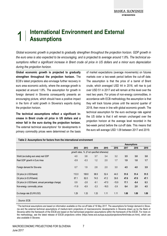### 1 **International Environment and External Assumptions**

*Global economic growth is projected to gradually strengthen throughout the projection horizon. GDP growth in the euro area is also expected to be encouraging, and is projected to average around 1.8%. The technical assumptions reflect a significant increase in Brent crude oil price in US dollars and a minor euro depreciation during the projection horizon.*

**Global economic growth is projected to gradually strengthen throughout the projection horizon.** The ECB's latest projections also envisage further recovery in euro area economic activity, where the average growth is expected at around 1.8%. The assumption for growth in foreign demand in Slovenia consequently presents an encouraging picture, which should have a positive impact in the form of solid growth in Slovenia's exports during the projection horizon.

**The technical assumptions reflect a significant increase in Brent crude oil price in US dollars and a minor fall in the euro during the projection horizon.**  The external technical assumptions<sup>1</sup> for developments in primary commodity prices were determined on the basis

of market expectations (average movements) on futures markets over a two-week period before the cut-off date. The assumption is that the price of a barrel of Brent crude, which averaged USD 44 in 2016, will rise to just over USD 51 in 2017 and will remain at this level over the next two years. For prices of non-energy commodities, in accordance with ECB methodology the assumption is that they will track futures prices until the second quarter of 2018, then move in line with global economic growth. The technical assumption for the euro exchange rate against the US dollar is that it will remain unchanged over the projection horizon at the average level recorded in the two-week period before the cut-off date. This means that the euro will average USD 1.09 between 2017 and 2019.

|                                                     |         |                                              |        |         |         |      | <b>Assumptions</b> |      |  |  |
|-----------------------------------------------------|---------|----------------------------------------------|--------|---------|---------|------|--------------------|------|--|--|
|                                                     | 2012    | 2013                                         | 2014   | 2015    | 2016    | 2017 | 2018               | 2019 |  |  |
|                                                     |         | growth rates, % (if not specified otherwise) |        |         |         |      |                    |      |  |  |
| World (excluding euro area) real GDP                | 4.0     | 3.8                                          | 3.7    | 3.4     | 3.2     | 3.5  | 3.8                | 3.8  |  |  |
| Real GDP growth in Euro Area                        | $-0.9$  | $-0.3$                                       | 1.2    | 2.0     | 1.7     | 1.9  | 1.8                | 1.7  |  |  |
| Foreign demand for Slovenia                         | 0.7     | 1.9                                          | 2.8    | 2.0     | 3.0     | 4.5  | 4.0                | 3.9  |  |  |
| Oil price (in USD/barrel)                           | 112.0   | 108.8                                        | 98.9   | 52.4    | 44.0    | 51.6 | 51.4               | 51.5 |  |  |
| Oil price (in EUR/barrel)                           | 87.1    | 82.0                                         | 74.5   | 47.2    | 39.8    | 47.6 | 47.0               | 47.1 |  |  |
| Oil price (in USD/barrel, annual percentage change) | 0.9     | $-2.8$                                       | $-9.1$ | $-47.0$ | $-15.9$ | 17.1 | $-0.4$             | 0.3  |  |  |
| Non-energy commodity prices                         | $-11.9$ | $-6.9$                                       | $-3.3$ | $-16.5$ | $-3.9$  | 6.4  | 2.0                | 4.5  |  |  |
| Exchange rate (EUR/USD)                             | 1.29    | 1.33                                         | 1.33   | 1.11    | 1.11    | 1.08 | 1.09               | 1.09 |  |  |
| Source: ECB.                                        |         |                                              |        |         |         |      |                    |      |  |  |

**Table 2: Assumptions for factors from the international environment**

1 The technical assumptions are based on information available on the cut-off date of 16 May 2017. The assumptions for foreign demand in Slovenia and the external technical assumptions of medium-term projections of macroeconomic developments in Slovenia drawn up by the Bank of Slovenia within the framework of the ESCB are based on the harmonised projection assumptions within the framework of the ESCB. For more on the methodology, see the latest release of ESCB projections online (https://www.ecb.europa.eu/pub/projections/html/index.en.html), which are also available in Slovene.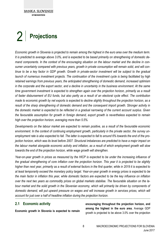### 2 **Projections**

*Economic growth in Slovenia is projected to remain among the highest in the euro area over the medium term. It is predicted to average above 3.0%, and is expected to be based primarily on strengthening of domestic demand components. In the context of the encouraging situation on the labour market and the decline in consumer uncertainty compared with previous years, growth in private consumption will remain solid, and will continue to be a key factor in GDP growth. Growth in private-sector investment will be subject to the gradual launch of numerous investment projects. The continuation of the investment cycle is being facilitated by high retained earnings from previous years, the anticipated strengthening of domestic demand, increased optimism in the corporate and the export sector, and a decline in uncertainty in the business environment. At the same*  time government investment is expected to strengthen again over the projection horizon, primarily as a result *of faster disbursement of EU funds, but also partly as a result of an electoral cycle effect. The contribution made to economic growth by net exports is expected to decline slightly throughout the projection horizon, as a*  result of the sharp strengthening of domestic demand and the consequent import growth. Stronger activity in *the domestic market is expected to be reflected in a gradual narrowing of the current account surplus. Given the favourable assumption for growth in foreign demand, export growth is nevertheless expected to remain high over the projection horizon, averaging more than 5.5%.*

*Developments on the labour market are expected to remain positive, as a result of the favourable economic environment. In the context of continuing employment growth, particularly in the private sector, the survey unemployment rate is also expected to fall. The latter is expected to fall to around 6% towards the end of the projection horizon, which was its level before 2007. Structural imbalances are predicted to have a major impact on the labour market alongside economic activity and inflation, as a result of which employment growth will slow towards the end of the projection horizon, while wage growth will strengthen.*

*Year-on-year growth in prices as measured by the HICP is expected to be under the increasing influence of the gradual strengthening of core inflation over the projection horizon. This year it is projected to be slightly higher than next year, primarily as a result of external factors in the first quarter, while in 2019 it is expected to at least temporarily exceed the monetary policy target. Year-on-year growth in energy prices is expected to be the main factor in inflation this year, while domestic factors are expected to be the key influence on inflation over the next two years as commodity prices on global markets stabilise. The favourable situation on the labour market and the solid growth in the Slovenian economy, which will primarily be driven by components of domestic demand, will put upward pressure on wages and will increase growth in services prices, which will account for just over a half of headline inflation during the projection horizon.*

### **2.1 Economic activity**

**Economic growth in Slovenia is expected to remain** 

**encouraging throughout the projection horizon, and among the highest in the euro area.** Average GDP growth is projected to be above 3.0% over the projection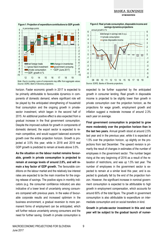**BANKA SLOVENIJE FVDOCICTE** 



**Figure 1: Projection of expenditure contributions to GDP growth** 



horizon. Faster economic growth in 2017 is expected to be primarily attributable to favourable dynamics in components of domestic demand, where significant role will be played by the anticipated strengthening of household final consumption and the ongoing growth in privatesector investment, which began in the second half of 2015. An additional positive effect is also expected from a gradual increase in the final government consumption. Despite the improved outlook for growth in components of domestic demand, the export sector is expected to remain competitive, and would support balanced economic growth over the entire projection horizon. Growth is projected at 3.5% this year, while in 2018 and 2019 real GDP growth is predicted to remain at levels above 3.0%.

**As the situation on the labour market remains favourable, growth in private consumption is projected to remain at average levels of around 2.8%, and will remain a key factor of GDP growth.** The favourable conditions on the labour market and the relatively low interest rates are expected to be the main incentive for the ongoing release of savings. The positive signs in monthly indicators (e.g. the consumer confidence indicator) are also indicative of a lower level of uncertainty among consumers compared with previous years. In the wake of favourable corporate results and increased optimism in the business environment, a gradual reversion to more permanent forms of employment can be anticipated, which will further reduce uncertainty among consumers and the need for further saving. Growth in private consumption is

**Figure 2: Real private consumption, disposable income and savings dynamics projections** *annual growth in %*  6 6 change in savings rate in p.p. 5 5 private consumption 4 4 gross disposable income 3 3 2 2 1 1 0 0 П  $\Box$ -1 -1 -2 -2 -3 -3 -4 -4 -5 -5 -6 -6 08 09 10 11 12 13 14 15 16 17 18 19 *Source: SORS, Banka of Slovenia projections.*

expected to be further supported by the anticipated growth in consumer lending. Real growth in disposable income is projected to be slightly lower than growth in private consumption over the projection horizon, as the projections for wage growth, employment growth and inflation suggest a moderate increase of around 2.3% each year on average.

**Final government consumption is projected to grow more moderately over the projection horizon than in the last two years.** Annual growth stood at around 2.5% last year and in the previous year, while it is expected at 1.5% over the projection horizon, up slightly on the projections from last December. The upward revision is primarily the result of changes in estimates of the number of employees in the government sector. The number began rising at the very beginning of 2016 as a result of the relaxation of restrictions, and was up 1.5% last year. The number of employees in the government sector is expected to remain at a similar level this year, and is expected to gradually fall by the end of the projection horizon. However, the significant increase in nominal government consumption is expected to be attributable to high growth in employment compensation, which accounts for around 60% of the total figure. The growth in government consumption is also attributable to expenditure on intermediate consumption and on social transfers in kind.

**Growth in private-sector investment in this and next year will be subject to the gradual launch of numer-**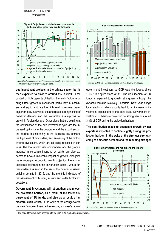#### **-3.1**  $\frac{7.6}{7.0}$  **6.5**  $\frac{7.1}{5.5}$ **-22.0 -13.3 -4.9 -8.8 3.2 1.4 1.0**  $-40$ -35 -30 -25 -20  $-15$ -10 -5 0 5 10 08 09 10 11 12 13 14 15 16 17 18 19 **Example 3** private gross fixed capital formation public gross fixed capital formation -gross fixed capital formation (June 2017 projection) gross fixed capital formation **Figure 3: Projection of contributions of components to the growth of gross fixed capital formation** *in p. p.*

**BANKA SLOVENIJE FVDACICTER** 

**ous investment projects in the private sector, but is then expected to slow to around 5% in 2019.** In the context of high capacity utilisation, the main factors enabling further growth in investment, particularly in machinery and equipment, are the high level of retained earnings from previous years, the anticipated strengthening of domestic demand and the favourable assumptions for growth in foreign demand. Other signs that are pointing at the continuation of the new investment cycle are the increased optimism in the corporate and the export sector, the decline in uncertainty in the business environment, the high level of new orders, and an easing of the factors limiting investment, which are all being reflected in surveys. The low interest rate environment and the gradual increase in corporate financing by banks are also expected to have a favourable impact on growth. Alongside the encouraging economic growth projection, there is an additional optimism in the construction sector, where further evidence is seen in the rise in the number of issued building permits in 2016, and the monthly indicators of the assessment of building activity and order books expectations.

**Government investment will strengthen again over the projection horizon, as a result of the faster disbursement of EU funds, and also as a result of an electoral cycle effect.** In the wake of the changeover to the new European financial framework, last year's ratio of



government investment to GDP was the lowest since 1995.<sup>2</sup> The figure stood at 3%. The disbursement of EU funds is expected to gradually strengthen, although the dynamic remains relatively uncertain. Next year brings local elections, which usually lead to an increase in investment expenditure at the local level. Government investment is therefore projected to strengthen to around 3.3% of GDP during the projection horizon.

**The contribution made to economic growth by net exports is expected to decline slightly during the projection horizon, in the wake of the stronger strengthening of domestic demand and the resulting stronger** 



<sup>2</sup>The period for which data according to the ESA 2010 methodology is available.

*Note: Due to rounding, sums of components may differ from aggregate values. Source: SORS, Bank of Slovenia projections.*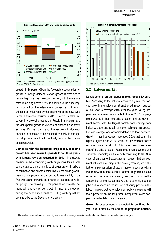



**growth in imports.** Given the favourable assumption for growth in foreign demand, export growth is expected to remain high over the projection horizon, with the average rates remaining above 5.5%. In addition to the encouraging outlook from the external environment, export growth will also be influenced by the beginning of the new cycle in the automotive industry in 2017 (Revoz), a faster recovery in developing countries, Russia in particular, and the anticipated growth in exports of transport and travel services. On the other hand, the recovery in domestic demand is expected to be reflected primarily in stronger import growth, which will gradually reduce the current account surplus.

**Compared with the December projections, economic growth has been revised upwards for all three years, with largest revision recorded in 2017.** The upward revision in the economic growth projections for all three years is attributable primarily to stronger growth in private consumption and private-sector investment, while government consumption is also expected to rise slightly in the first two years, primarily as a result of less restrictive fiscal policy. The recovery in components of domestic demand will lead to stronger growth in imports, thereby reducing the contribution made to GDP growth by net exports relative to the December projections.



### **2.2 Labour market**

**Developments on the labour market remain favourable.** According to the national accounts figures, year-onyear growth in employment strengthened in each quarter of last year to average 2.0% over the year, taking employment to a level comparable to that of 2010. Employment was up in both the private sector and the government sector, with the largest contributions coming from industry, trade and repair of motor vehicles, transportation and storage, and accommodation and food services. Growth in nominal wages<sup>3</sup> averaged  $2.2\%$  last year, the highest figure since 2010, while the government sector recorded wage growth of 4.8%, more than three times that of the private sector. Registered unemployment and surveyed unemployment are both continuing to fall. Surveys of employment expectations suggest that employment will continue rising in the coming months, while the further implementation of labour market measures within the framework of the National Reform Programme is also expected. The latter are primarily designed to improve the functioning of the labour market, to create high-quality jobs and to speed up the inclusion of young people in the labour market. Active employment policy measures will focus primarily on the long-term unemployed, older people, low skilled labour and the young.

**Growth in employment is expected to continue this year, but to slow by the end of the projection horizon.** 

<sup>3</sup> The analysis used national accounts figures, where the average wage is calculated as employee compensation per employee.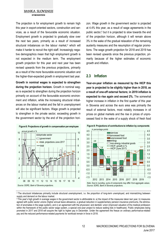**BANKA SLOVENIJE FVDOCICTEM** 

The projection is for employment growth to remain high this year in export-oriented sectors, construction and services, as a result of the favourable economic situation. Employment growth is projected to gradually slow over the next two years, primarily as a result of increased structural imbalances on the labour market.<sup>4</sup> which will make it harder to recruit the right staff. Increasingly negative demographics mean that high employment growth is not expected in the medium term. The employment growth projection for this year and next year has been revised upwards from the previous projections, primarily as a result of the more favourable economic situation and the higher-than-expected growth in employment last year.

**Growth in nominal wages is expected to strengthen during the projection horizon.** Growth in nominal wages is expected to strengthen during the projection horizon primarily on account of the favourable economic environment and inflation, while the increasing structural imbalances on the labour market and the fall in unemployment will also be significant factors. Wage growth is projected to strengthen in the private sector, exceeding growth in the government sector by the end of the projection hori-



zon. Wage growth in the government sector is projected at 4.4% this year, as a result of wage agreements in the public sector,<sup>5</sup> but it is projected to slow towards the end of the projection horizon, although it will remain above 3% in the wake of the gradual relaxation of the remaining austerity measures and the resumption of regular promotions. The wage growth projection for 2018 and 2019 has been revised upwards since the previous projection, primarily because of the higher estimates of economic growth and inflation.

### **2.3 Inflation**

**Year-on-year inflation as measured by the HICP this year is projected to be slightly higher than in 2018, as a result of one-off external factors; in 2019 inflation is expected to rise again and exceed 2%.** The somewhat higher increase in inflation in the first quarter of this year in Slovenia and across the euro area was primarily the result of external factors, most notably increases in oil prices on global markets and the rise in prices of unprocessed food in the wake of a supply shock of fresh food



4 The structural imbalances primarily include structural unemployment, i.e. the proportion of long-term unemployed, and mismatching between supply and demand on the labour market.

<sup>5</sup>This year's high growth in average wages in the government sector is attributable to: a) the impact of the measures taken last year, b) measures agreed with public sector unions (higher annual leave allowance, a gradual reduction in supplementary pension insurance premiums, the elimination of anomalies in the wage system), and c) an agreement with the physicians' and dentists' union (improved valuation of the medical profession within the framework of the public sector wage system, a special one-year project to reduce waiting lists in healthcare). Public employees being promoted in 2017 and 2018 will acquire the right to higher pay in December. Under the agreement the freeze on ordinary performance-related pay and the reduced performance-related payments for workload remain in force in 2018.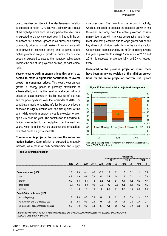

due to weather conditions in the Mediterranean. Inflation is expected to reach 1.7% this year, primarily as a result of the high dynamics from the early part of the year, but it is expected to slightly slow next year, in line with the assumptions for a slower growth in oil prices and primary commodity prices on global markets. In concurrence with solid growth in economic activity and, to some extent, higher growth in wages, growth in prices of consumer goods is expected to exceed the monetary policy target towards the end of the projection horizon, at least temporarily.

**Year-on-year growth in energy prices this year is expected to make a significant contribution to overall growth in consumer prices.** This year's year-on-year growth in energy prices is primarily attributable to a base effect, which is the result of a sharper fall in oil prices on global markets in the first quarter of last year and the price dynamics over the remainder of 2016. The contribution made to headline inflation by energy prices is expected to slightly decline after the first quarter of this year, while growth in energy prices is projected to average 4.3% over the year. The contribution to headline inflation is expected to be negligible over the next two years, which is in line with the assumptions for stabilisation of oil prices on global markets.

**Core inflation is projected to rise over the entire projection horizon.** Core inflation is expected to gradually increase, as a result of both demand-side and supply-

side pressures. The growth of the economic activity, which is expected to outpace the potential growth in the Slovenian economy over the entire projection horizon mainly due to growth in private consumption and investment, and cost pressures due to wage growth will be the key drivers of inflation, particularly in the service sector. Core inflation as measured by the HICP excluding energy this year is projected to average 1.4%, while for 2018 and 2019 it is expected to average 1.8% and 2.4%, respectively.

**Compared to the previous projection round there have been an upward revision of the inflation projections for the entire projection horizon.** The upward



*Note: Due to rounding, sums of components may differ from aggregate values. Source: SORS, Bank of Slovenia.*

| Table 3: Inflation projection |  |
|-------------------------------|--|
|-------------------------------|--|

|                                         |        |        |        |        |        |        |        | <b>Projections</b> |        |      |        |
|-----------------------------------------|--------|--------|--------|--------|--------|--------|--------|--------------------|--------|------|--------|
|                                         |        |        |        |        |        | 2017   |        | 2018               |        | 2019 |        |
|                                         | 2012   | 2013   | 2014   | 2015   |        | une    |        | June               | Λ      |      |        |
|                                         |        |        |        |        |        |        |        |                    |        |      |        |
| Consumer prices (HICP)                  | 2.8    | 1.9    | 0.4    | $-0.8$ | $-0.2$ | 1.7    | 0.3    | 1.6                | 0.2    | 2.1  | 0.5    |
| food                                    | 4.7    | 4.9    | 0.8    | 0.9    | 0.5    | 2.2    | 0.4    | 2.1                | 0.2    | 2.1  | 0.3    |
| energy                                  | 9.0    | 1.8    | $-1.4$ | $-7.8$ | $-5.2$ | 4.3    | 2.4    | 0.1                | $-0.6$ | 0.0  | $-0.4$ |
| other goods                             | $-0.2$ | $-0.8$ | $-1.0$ | $-0.6$ | $-0.5$ | $-0.2$ | $-0.3$ | 0.5                | $-0.1$ | 0.9  | $-0.2$ |
| services                                | 1.5    | 2.3    | 1.8    | 0.9    | 1.6    | 2.0    | 0.1    | 2.5                | 0.6    | 3.6  | 1.4    |
| Core inflation indicators (HICP)        |        |        |        |        |        |        |        |                    |        |      |        |
| ex cluding energy                       | 1.8    | 2.0    | 0.7    | 0.4    | 0.6    | 1.4    | 0.1    | 1.8                | 0.3    | 2.4  | 0.7    |
| excl. energy and unprocessed food       | 1.5    | 1.4    | 0.9    | 0.4    | 0.6    | 1.2    | 0.0    | 1.7                | 0.2    | 2.4  | 0.7    |
| excl. energy, food, alcohol and tobacco | 0.7    | 0.9    | 0.6    | 0.3    | 0.7    | 1.1    | 0.0    | 1.6                | 0.2    | 2.5  | 0.8    |

Δ*: Difference between current projections and projections in Macroeconomic Projections for Slovenia, December 2016. Source: SORS, Bank of Slovenia.*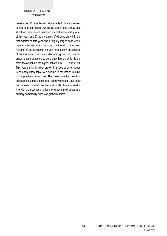

revision for 2017 is largely attributable to the aforementioned external factors, which include 1) the supply-side shock on the unprocessed food market in the first quarter of this year, and 2) the dynamics of oil price growth in the first quarter of this year and a slightly larger base effect than in previous projection round. In line with the upward revision of the economic activity, particularly on account of components of domestic demand, growth in services prices is also expected to be slightly higher, which is the main factor behind the higher inflation in 2018 and 2019. This year's slightly lower growth in prices of other goods is primarily attributable to a decline in realisation relative to the previous projections. The projections for growth in prices of industrial goods, both energy products and other goods, over the next two years have also been revised in line with the new assumptions for growth in oil prices and primary commodity prices on global markets.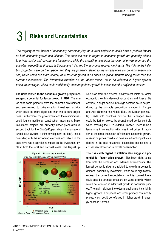### 3 **Risks and Uncertainties**

*The majority of the factors of uncertainty accompanying the current projections could have a positive impact on both economic growth and inflation. The domestic risks in regard to economic growth are primarily related to private-sector and government investment, while the prevailing risks from the external environment are the uncertain geopolitical situation in Europe and Asia, and the economic recovery in Russia. The risks to the inflation projections are on the upside, and they are primarily related to the uncertainties surrounding energy prices, which could rise more sharply as a result of growth in oil prices on global markets being faster than the current expectations. The favourable situation on the labour market could be reflected in higher upward pressure on wages, which could additionally encourage faster growth in prices over the projection horizon.*

**The risks related to the economic growth projections suggest a potential for faster growth in GDP.** The major risks come primarily from the domestic environment, and are related to private-sector investment activity, which could be more significant than the current projections. Furthermore, the government and the municipalities could launch additional construction investment. Major investment projects are currently under preparation (a second track for the Divača-Koper railway line, a second tunnel at Karavanke, a third development corridor), that is coinciding with the upcoming elections and which in the past have had a significant impact on the investment cycle at both the local and national levels. The largest up-



side risks from the external environment relate to faster economic growth in developing countries and Russia. By contrast, a slight decline in foreign demand could be produced by the unstable geopolitical situation in Europe and Asia (Ukraine, the Middle East, the Korean peninsula). Trade with countries outside the Schengen Area could be further slowed by strengthened border controls when crossing the EU's external frontier. There remain large risks in connection with rises in oil prices. In addition to the direct impact on inflation and economic growth, a rise in oil prices could also have an indirect impact via a decline in the real household disposable income and a consequent slowdown in private consumption.

**The risks with regard to inflation also suggest a potential for faster price growth.** Significant risks come from both the domestic and external environments. The largest domestic risks are related to growth in domestic demand, particularly investment, which could significantly exceed the current expectations. In this context there could also be stronger pressure on wage growth, which would be reflected in additional growth in consumer prices. The main risk from the external environment is slightly higher growth in oil prices and other primary commodity prices, which could be reflected in higher growth in energy prices in Slovenia.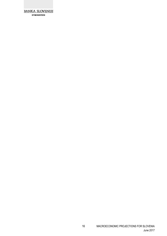**BANKA SLOVENIJE** 

**EVROSISTEM** 

16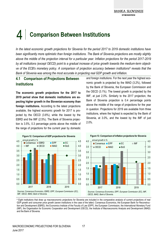### $\vert 4 \vert$ **Comparison Between Institutions**

*In the latest economic growth projections for Slovenia for the period 2017 to 2019 domestic institutions have been significantly more optimistic than foreign institutions. The Bank of Slovenia projections are mostly slightly above the middle of the projection interval for a particular year. Inflation projections for the period 2017-2019 by all institutions (except OECD) point to a gradual increase of price growth towards the medium-term objective of the ECB's monetary policy. A comparison of projection accuracy between institutions<sup>6</sup> reveals that the Bank of Slovenia was among the most accurate in projecting real GDP growth and inflation.*

### **4.1 Comparison of Projections Between Institutions**

**The economic growth projections for the 2017 to 2019 period show that domestic institutions are expecting higher growth in the Slovenian economy than foreign institutions.** According to the latest projections available, the highest economic growth for 2017 is projected by the OECD (3.8%), while the lowest by the EBRD and the IMF (2.5%). The Bank of Slovenia projection is 3.5%, 0.3 percentage points above the middle of the range of projections for the current year by domestic



and foreign institutions. For the next year the highest economic growth is projected by the IMAD (3.2%), followed by the Bank of Slovenia, the European Commission and the OECD (3.1%). The lowest growth is projected by the IMF, at just 2.0%. Similarly to the 2017 projection, the Bank of Slovenia projection is 0.4 percentage points above the middle of the range of projections for the year in question. Projections for 2019 are available from three institutions, where the highest is expected by the Bank of Slovenia, at 3.0%, and the lowest by the IMF of just 2.0%.



<sup>6</sup> Eight institutions that draw up macroeconomic projections for Slovenia are included in the comparative analysis of current projections of real GDP growth and consumer price growth (seven institutions in the case of the latter): Consensus Economics, the European Bank for Reconstruction and Development (EBRD), the Economics Institute of the Faculty of Law (EIPF), the European Commission, the International Monetary Fund (IMF), the Organisation for Economic Cooperation and Development (OECD), the Institute of Macroeconomic Analysis and Development (IMAD) and the Bank of Slovenia.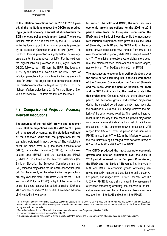**EVROSISTEM** 

**In the inflation projections for the 2017 to 2019 period, all the institutions (except the OECD) are predicting a gradual recovery in annual inflation towards the ECB monetary policy medium-term target.** The highest inflation rate in 2017 is expected by the OECD (2.6%), while the lowest growth in consumer prices is projected by the European Commission and the IMF (1.5%). The Bank of Slovenia projection is slightly below the average projection for the current year, at 1.7%. For the next year the highest inflation projection is 3.1%, again from the OECD, followed by 1.9% from the EIPF. The lowest is 1.6%, by the Bank of Slovenia and the IMAD. Also for inflation, projections from only three institutions are available for 2019. The projections are concentrated around the medium-term inflation target set by the ECB. The highest inflation projection is 2.1% from the Bank of Slovenia, followed by 2.0% from the IMF and the IMAD.

### **4.2 Comparison of Projection Accuracy Between Institutions**

**The accuracy of the real GDP growth and consumer price inflation projections over the 2001 to 2016 period is measured by comparing the statistical estimate or the observed value with the projections for the variables obtained in past periods.<sup>7</sup>** The calculations cover the mean error (ME), the mean absolute error (MAE), the standard deviation (STDEV), the root mean square error (RMSE) and the standardised RMSE (SRMSE).<sup>8</sup> Only three of the selected institutions (the Bank of Slovenia, the European Commission and the IMF) released projections for the entire observation period. For the majority of the other institutions projections are only available from 2004 (from 2009 for the OECD, and from 2011 for the EBRD). In light of the impact of the crisis, the entire observation period excluding 2008 and 2009 and the period of 2009 to 2016 have been additionally included in the analysis.

**In terms of the MAE and RMSE, the most accurate economic growth projections for the 2001 to 2016 period were from the European Commission, the IMAD and the Bank of Slovenia, while the most accurate inflation projections were provided by the Bank of Slovenia, the IMAD and the SKEP unit.** In the economic growth forecasting MAE ranged from 0.6 to 3.1 over the observation period, while RMSE ranged from 0.7 to 4.7.<sup>9</sup> The inflation projections were slightly more accurate: the aforementioned indicators had narrower ranges, namely 0.3 to 1.7 for MAE and 0.3 to 2.1 for RMSE.

**The most accurate economic growth projections over the entire period excluding 2008 and 2009 were those of the European Commission, the Bank of Slovenia and the IMAD, while the Bank of Slovenia, the IMAD and the SKEP unit again had the most accurate inflation projections.** Compared with the entire observation period, the economic growth and inflation projections during the selected period were slightly more accurate, the exclusion of 2008 and 2009 having removed the majority of the crisis-related volatility. The resulting improvement in the accuracy of the economic growth projections was greater across all indicators than that of the inflation projections. In the economic growth forecasting MAE ranged from 0.5 to 2.5 over the period in question, while RMSE ranged from 0.7 to 4.0. In the inflation forecasting the two indicators again ranged over narrower intervals: 0.2 to 1.6 for MAE and 0.3 to 2.1 for RMSE.

**The OECD produced the most accurate economic growth and inflation projections over the 2009 to 2016 period, followed by the European Commission, the IMAD and the Bank of Slovenia.** The intervals in MAE and RMSE in economic growth forecasting narrowed markedly relative to those for the entire observation period, and ranged from 0.6 to 2.2 for MAE and 0.7 to 2.9 for RMSE. It was a similar case in the assessment of inflation forecasting accuracy: the intervals in the indicators were narrower than in the entire observation period, at 0.1 to 1.4 for MAE and 0.2 to 1.6 for RMSE.

[http://www.bsi.si/iskalniki/raziskave.asp?MapaId=339.](http://www.bsi.si/iskalniki/raziskave.asp?MapaId=339)

<sup>7</sup> In the examination of forecasting accuracy between institutions in the 2001 to 2016 period and in the various sub-periods, the first observed values and forecasts of variables are compared, whereby the forecasts selected are those that correspond most closely to the Bank of Slovenia's spring and autumn forecasts.

<sup>8</sup> For a detailed description of the statistical measures (in Slovene), see Cimperman, Savšek (2014):

<sup>9</sup> The spring and autumn projections of all the institutions for the current and following year are taken into account in the values given.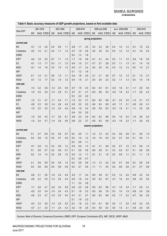**EVROSISTEM** 

| Table 4: Basic accuracy measures of GDP growth projections, based on first available data |        |           |              |           |         |           |           |         |                    |               |     |              |                 |     |           |        |     |                  |
|-------------------------------------------------------------------------------------------|--------|-----------|--------------|-----------|---------|-----------|-----------|---------|--------------------|---------------|-----|--------------|-----------------|-----|-----------|--------|-----|------------------|
| Real GDP                                                                                  |        | 2001-2016 |              | 2001-2008 |         |           | 2009-2016 |         |                    | 2008 and 2009 |     |              | excl. 2008-2009 |     | 2004-2016 |        |     |                  |
|                                                                                           | ME     |           | MAE STDEV ME |           |         | MAE STDEV | ME        |         | MAE STDEV ME       |               |     | MAE STDEV ME |                 |     | MAE STDEV | ME     |     | <b>MAE STDEV</b> |
|                                                                                           |        |           |              |           |         |           |           |         | spring projections |               |     |              |                 |     |           |        |     |                  |
| current year                                                                              |        |           |              |           |         |           |           |         |                    |               |     |              |                 |     |           |        |     |                  |
| <b>BS</b>                                                                                 | $-0.1$ | 1.3       | 2.0          | 0.4       | 0.9     | 1.1       | $-0.6$    | 1.7     | 2.5                | $-3.4$        | 3.4 | 3.8          | 0.4             | 1.0 | 1.2       | $-0.1$ | 1.5 | 2.2              |
| C onsensus                                                                                | $-0.2$ | 1.5       | 2.1          | 0.4       | 1.1     | 1.3       | $-0.7$    | 1.9     | 2.6                | $-3.5$        | 3.5 | 3.3          | 0.4             | 1.2 | 1.5       | $-0.1$ | 1.6 | 2.3              |
| <b>EBRD</b>                                                                               |        |           |              |           |         |           | 0.5       | 1.3     | 1.6                |               |     |              |                 |     |           |        |     |                  |
| <b>EIPF</b>                                                                               | $-0.4$ | 1.6       | 2.5          | 0.7       | 1.1     | 1.3       | $-1.1$    | 1.9     | 2.8                | $-4.1$        | 4.1 | 4.4          | 0.3             | 1.1 | 1.5       | $-0.4$ | 1.6 | 2.5              |
| EC                                                                                        | $-0.1$ | 1.3       | 1.7          | 0.3       | 1.1     | 1.3       | $-0.4$    | 1.5     | 2.1                | $-2.7$        | 2.7 | 2.8          | 0.3             | 1.1 | 1.3       | 0.1    | 1.4 | 1.9              |
| <b>MDS</b>                                                                                | $-0.1$ | 1.4       | 1.9          | 0.3       | 1.0     | 1.3       | $-0.5$    | 1.7     | 2.4                | $-3.0$        | 3.0 | 3.4          | 0.3             | 1.2 | 1.4       | 0.0    | 1.5 | 2.1              |
| <b>IMF</b>                                                                                |        |           |              |           |         |           | 0.1       | 1.2     | 1.6                |               |     |              |                 |     |           |        |     |                  |
| <b>SKEP</b>                                                                               | 0.1    | 1.5       | 2.1          | 0.8       | 1.0     | 1.1       | $-0.4$    | 1.8     | 2.5                | $-3.1$        | 3.1 | 3.6          | 0.7             | 1.2 | 1.3       | 0.1    | 1.5 | 2.1              |
| <b>IMAD</b>                                                                               | $-0.1$ | 1.3       | 1.7          | 0.2       | 1.0     | 1.2       | $-0.4$    | 1.6     | 2.1                | $-2.5$        | 2.5 | 2.3          | 0.2             | 1.1 | 1.3       | 0.0    | 1.4 | 1.8              |
| next year                                                                                 |        |           |              |           |         |           |           |         |                    |               |     |              |                 |     |           |        |     |                  |
| <b>BS</b>                                                                                 | $-1.0$ | 2.2       | 3.6          | $-1.2$    | 2.5     | 4.6       | $-0.7$    | 1.9     | 2.4                | $-6.3$        | 6.3 | 8.1          | $-0.2$          | 1.6 | 2.1       | $-1.1$ | 2.6 | 4.0              |
| C onsensus                                                                                | $-1.0$ | 2.5       | 3.9          | $-1.4$    | 2.9     | 5.1       | $-0.7$    | 2.1     | 2.7                | $-6.0$        | 6.6 | 9.3          | $-0.2$          | 1.9 | 2.3       | $-1.1$ | 2.8 | 4.3              |
| <b>EBRD</b>                                                                               |        |           |              |           |         |           | 0.3       | 2.0     | 2.9                |               |     |              |                 |     |           |        |     |                  |
| <b>EIPF</b>                                                                               | $-1.2$ | 3.1       | 4.7          | $-1.1$    | 4.4     | 7.1       | $-1.2$    | 2.2     | 2.7                | $-6.5$        | 6.5 | 8.6          | $-0.1$          | 2.5 | 3.4       | $-1.2$ | 3.1 | 4.7              |
| EC                                                                                        | $-0.9$ | 2.3       | 3.6          | $-1.4$    | 2.6     | 4.5       | $-0.5$    | 2.0     | 2.5                | $-5.6$        | 6.3 | 8.9          | $-0.2$          | 1.7 | 2.1       | $-0.9$ | 2.6 | 4.1              |
| <b>MDS</b>                                                                                | $-1.0$ | 2.2       | 3.5          | $-1.2$    | 2.4     | 4.4       | $-0.8$    | 1.9     | 2.4                | $-5.8$        | 5.8 | 8.2          | $-0.3$          | 1.6 | 2.1       | $-1.1$ | 2.5 | 3.9              |
| <b>IMF</b>                                                                                |        |           |              |           |         |           | $-0.4$    | 2.0     | 2.6                |               |     |              |                 |     |           |        |     |                  |
| <b>SKEP</b>                                                                               | $-1.0$ | 2.6       | 4.2          | $-1.7$    | 3.6     | 6.1       | $-0.6$    | 2.0     | 2.5                | $-6.3$        | 6.3 | 8.6          | 0.0             | 1.9 | 2.4       | $-1.0$ | 2.6 | 4.2              |
| <b>IMAD</b>                                                                               | $-1.0$ | 2.4       | 3.7          | $-1.4$    | 2.6     | 4.6       | $-0.6$    | 2.2     | 2.7                | $-5.9$        | 6.3 | 8.9          | $-0.3$          | 1.8 | 2.3       | $-1.1$ | 2.8 | 4.2              |
|                                                                                           |        |           |              |           |         |           |           |         | autumn projections |               |     |              |                 |     |           |        |     |                  |
| current year                                                                              |        |           |              |           |         |           |           |         |                    |               |     |              |                 |     |           |        |     |                  |
| BS                                                                                        | 0.1    | 0.7       | 0.9          | 0.2       | 0.6     | 0.7       | 0.0       | 0.9     | 1.1                | $-1.2$        | 1.2 | 0.3          | 0.3             | 0.6 | 0.8       | 0.1    | 0.8 | 1.0              |
| Consensus                                                                                 | 0.0    | 0.8       | 1.0          | 0.0       | 0.7     | 0.9       | 0.0       | 1.0     | 1.2                | $-1.6$        | 1.6 | 0.5          | 0.2             | 0.7 | 0.9       | 0.1    | 0.9 | 1.1              |
| <b>EBRD</b>                                                                               |        |           |              |           |         |           | 0.5       | 0.9     | 1.1                |               |     |              |                 |     |           |        |     |                  |
| <b>EIPF</b>                                                                               | $-0.1$ | 0.9       | 1.3          | 0.3       | $0.9\,$ | 1.2       | $-0.4$    | $0.9\,$ | 1.3                | $-2.1$        | 2.1 | 0.8          | 0.2             | 0.7 | 1.0       | $-0.1$ | 0.9 | 1.3              |
| EC                                                                                        | 0.1    | 0.6       | 0.7          | 0.2       | 0.6     | 0.7       | 0.1       | 0.6     | 0.8                | $-0.8$        | 0.8 | 0.1          | 0.3             | 0.5 | 0.7       | 0.1    | 0.6 | 0.8              |
| <b>MDS</b>                                                                                | 0.0    | $1.0$     | $1.4$        | 0.2       | 0.8     | 1.0       | $-0.2$    | 1.2     | 1.7                | $-2.1$        | 2.1 | 1.8          | 0.3             | 0.9 | 1.1       | 0.1    | 1.1 | 1.5              |
| IMF                                                                                       |        |           |              |           |         |           | 0.2       | 0.6     | 0.7                |               |     |              |                 |     |           |        |     |                  |
| <b>SKEP</b>                                                                               | 0.1    | 0.8       | 0.9          | 0.0       | 0.8     | 1.0       | 0.2       | 0.8     | 0.9                | $-1.3$        | 1.3 | 0.2          | 0.4             | 0.7 | 0.8       | 0.2    | 0.8 | 0.9              |
| <b>IMAD</b>                                                                               | 0.0    | 0.6       | $0.8\,$      | $0.0\,$   | 0.6     | 0.8       | 0.0       | 0.7     | 0.9                | $-1.1$        | 1.1 | 0.4          | 0.2             | 0.6 | 0.8       | 0.1    | 0.7 | 0.9              |
| next year                                                                                 |        |           |              |           |         |           |           |         |                    |               |     |              |                 |     |           |        |     |                  |
| BS                                                                                        | $-0.6$ | 2.1       | 3.6          | $-1.0$    | 2.5     | 4.5       | $-0.2$    | 1.7     | 2.4                | $-5.9$        | 5.9 | 8.1          | 0.2             | 1.5 | 2.0       | $-0.8$ | 2.5 | 4.0              |
| Consensus                                                                                 | $-0.8$ | 2.2       | 3.5          | $-1.3$    | 2.6     | 4.4       | $-0.2$    | 1.8     | 2.4                | $-5.5$        | 6.2 | 8.7          | $-0.1$          | 1.6 | 2.0       | $-0.8$ | 2.5 | $4.0$            |
| EBRD                                                                                      |        |           |              |           |         |           | 1.1       | 2.2     | 2.8                |               |     |              |                 |     |           |        |     |                  |
| <b>EIPF</b>                                                                               | $-1.1$ | 2.6       | 4.1          | $-2.0$    | 3.5     | 5.9       | $-0.5$    | 2.0     | 2.6                | $-5.9$        | 6.3 | 8.8          | $-0.1$          | 1.9 | 2.4       | $-1.1$ | 2.6 | 4.1              |
| EC                                                                                        | $-0.5$ | 2.0       | 3.4          | $-1.0$    | 2.4     | 4.3       | 0.1       | 1.6     | 2.2                | $-5.5$        | 5.6 | 7.8          | 0.3             | 1.5 | 1.9       | $-0.6$ | 2.4 | 3.8              |
| <b>MDS</b>                                                                                | $-0.6$ | 2.3       | 3.7          | $-1.0$    | 2.5     | 4.5       | $-0.1$    | 2.1     | 2.7                | $-5.5$        | 6.3 | 8.9          | 0.2             | 1.7 | 2.2       | $-0.7$ | 2.6 | $4.2\,$          |
| IMF                                                                                       |        |           |              |           |         |           | 0.1       | 1.8     | 2.2                |               |     |              |                 |     |           |        |     |                  |
| <b>SKEP</b>                                                                               | $-0.4$ | 2.3       | 3.8          | $-1.3$    | 2.9     | 5.2       | 0.3       | 1.8     | 2.3                | $-5.4$        | 6.1 | 8.6          | 0.5             | 1.7 | 2.0       | $-0.5$ | 2.5 | 4.0              |
| <b>IMAD</b>                                                                               | $-0.7$ | 2.1       | 3.5          | $-1.1$    | 2.4     | 4.3       | $-0.2$    | 1.8     | 2.6                | $-5.4$        | 5.9 | 8.3          | $0.0\,$         | 1.5 | 2.1       | $-0.8$ | 2.5 | 3.9              |

*Sources: Bank of Slovenia, Consensus Economics, EBRD, EIPF, European Commission (EC), IMF, OECD, SKEP, IMAD.*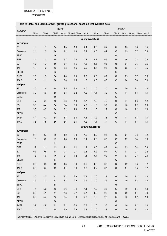**EVROSISTEM** 

### **Table 5: RMSE and SRMSE of GDP growth projections, based on first available data**

| <b>RMSE</b>  |           |           |         |         |                       |                    | SRMSE     |           |         |         |                       |         |  |  |
|--------------|-----------|-----------|---------|---------|-----------------------|--------------------|-----------|-----------|---------|---------|-----------------------|---------|--|--|
| Real GDP     | $01 - 16$ | $01 - 08$ | 09-16   |         | 08 and 09 excl. 08-09 | $04 - 16$          | $01 - 16$ | $01 - 08$ | 09-16   |         | 08 and 09 excl. 08-09 | $04-16$ |  |  |
|              |           |           |         |         |                       | spring projections |           |           |         |         |                       |         |  |  |
| current year |           |           |         |         |                       |                    |           |           |         |         |                       |         |  |  |
| <b>BS</b>    | 1.9       | 1.1       | 2.4     | 4.3     | 1.6                   | 2.1                | 0.5       | 0.7       | 0.7     | 0.5     | 0.6                   | 0.5     |  |  |
| Consensus    | 2.1       | 1.3       | 2.6     | 4.2     | 1.8                   | 2.2                | 0.6       | 0.9       | 0.7     | 0.5     | 0.7                   | 0.6     |  |  |
| EBRD         |           |           | 1.6     |         |                       |                    |           |           | 0.4     |         |                       |         |  |  |
| <b>EIPF</b>  | 2.4       | 1.3       | 2.9     | 5.1     | 2.0                   | 2.4                | 0.7       | 0.9       | 0.8     | 0.6     | 0.8                   | 0.6     |  |  |
| EC           | 1.7       | 1.3       | 2.0     | 3.4     | 1.5                   | 1.8                | 0.5       | 0.8       | 0.5     | 0.4     | 0.6                   | $0.5\,$ |  |  |
| <b>IMF</b>   | 1.9       | 1.2       | 2.3     | 3.8     | 1.6                   | 2.0                | 0.5       | 0.8       | 0.6     | 0.5     | 0.7                   | $0.5\,$ |  |  |
| OECD         |           |           | 1.5     |         |                       |                    |           |           | 0.4     |         |                       |         |  |  |
| <b>SKEP</b>  | 2.0       | 1.3       | 2.4     | 4.0     | 1.8                   | 2.0                | 0.6       | 0.9       | 0.6     | 0.5     | 0.7                   | 0.5     |  |  |
| <b>IMAD</b>  | 1.6       | 1.1       | 2.0     | 3.0     | 1.5                   | 1.7                | 0.5       | $0.8\,$   | 0.5     | 0.4     | 0.6                   | 0.4     |  |  |
| next year    |           |           |         |         |                       |                    |           |           |         |         |                       |         |  |  |
| BS           | 3.6       | 4.4       | 2.4     | 8.5     | 3.0                   | 4.0                | $1.0\,$   | 3.0       | 0.6     | 1.0     | 1.2                   | 1.0     |  |  |
| Consensus    | 3.9       | 5.0       | 2.5     | 8.8     | 3.2                   | 4.2                | 1.1       | 3.3       | 0.7     | 1.1     | 1.3                   | 1.1     |  |  |
| EBRD         |           |           | 2.6     |         |                       |                    |           |           | 0.7     |         |                       |         |  |  |
| <b>EIPF</b>  | 4.7       | 6.4       | 2.8     | 8.8     | 4.0                   | 4.7                | 1.3       | 4.3       | $0.8\,$ | 1.1     | 1.6                   | 1.2     |  |  |
| EC           | 3.6       | 4.4       | 2.4     | 8.4     | 3.0                   | 4.0                | $1.0$     | 3.0       | 0.7     | 1.0     | 1.2                   | 1.0     |  |  |
| <b>IMF</b>   | 3.5       | 4.3       | 2.4     | 8.2     | 2.9                   | 3.9                | $1.0$     | 2.9       | 0.6     | 1.0     | 1.2                   | $1.0\,$ |  |  |
| OECD         |           |           | 2.4     |         |                       |                    |           |           | 0.7     |         |                       |         |  |  |
| <b>SKEP</b>  | 4.1       | 5.7       | 2.4     | 8.7     | 3.4                   | 4.1                | 1.2       | 3.8       | $0.6\,$ | 1.1     | 1.4                   | 1.1     |  |  |
| <b>IMAD</b>  | 3.8       | 4.5       | 2.6     | $8.6\,$ | 3.1                   | 4.2                | 1.1       | 3.1       | 0.7     | 1.1     | 1.3                   | 1.1     |  |  |
|              |           |           |         |         |                       | autumn projections |           |           |         |         |                       |         |  |  |
| current year |           |           |         |         |                       |                    |           |           |         |         |                       |         |  |  |
| <b>BS</b>    | 0.9       | 0.7       | 1.0     | 1.2     | 0.8                   | 1.0                | 0.2       | 0.5       | 0.3     | 0.1     | 0.3                   | 0.2     |  |  |
| Consensus    | 1.0       | 0.8       | 1.2     | 1.6     | 1.0                   | 1.1                | 0.3       | 0.6       | 0.3     | 0.2     | 0.4                   | $0.3\,$ |  |  |
| EBRD         |           |           | 1.1     |         |                       |                    |           |           | 0.3     |         |                       |         |  |  |
| <b>EIPF</b>  | 1.2       | 1.1       | 1.3     | 2.2     | 1.1                   | 1.2                | 0.3       | 0.7       | 0.4     | 0.3     | 0.4                   | 0.3     |  |  |
| ${\sf EC}$   | $0.7\,$   | $0.6\,$   | 0.8     | $0.8\,$ | 0.7                   | 0.8                | $0.2\,$   | $0.4\,$   | $0.2\,$ | 0.1     | $0.3\,$               | $0.2\,$ |  |  |
| IMF          | 1.3       | $1.0\,$   | 1.6     | $2.5\,$ | $1.2\,$               | $1.4\,$            | $0.4\,$   | $0.7\,$   | 0.4     | 0.3     | $0.5\,$               | $0.4\,$ |  |  |
| OECD         |           |           | 0.7     |         |                       |                    |           |           | $0.2\,$ |         |                       |         |  |  |
| <b>SKEP</b>  | 0.9       | $0.9\,$   | 0.9     | 1.3     | $0.9\,$               | 0.9                | 0.3       | 0.6       | 0.2     | 0.2     | $0.3\,$               | $0.2\,$ |  |  |
| <b>IMAD</b>  | $0.8\,$   | $0.7\,$   | $0.9\,$ | $1.1$   | $0.8\,$               | $0.9\,$            | 0.2       | $0.5\,$   | 0.2     | 0.1     | 0.3                   | $0.2\,$ |  |  |
| next year    |           |           |         |         |                       |                    |           |           |         |         |                       |         |  |  |
| <b>BS</b>    | 3.5       | 4.3       | 2.2     | 8.2     | $2.9\,$               | $3.9\,$            | $1.0\,$   | $2.9\,$   | $0.6\,$ | $1.0\,$ | $1.2\,$               | $1.0\,$ |  |  |
| Consensus    | 3.5       | $4.3\,$   | 2.2     | 8.2     | $2.9\,$               | 3.9                | $1.0\,$   | 2.9       | $0.6\,$ | 1.0     | $1.2\,$               | $1.0\,$ |  |  |
| EBRD         |           |           | 2.8     |         |                       |                    |           |           | $0.8\,$ |         |                       |         |  |  |
| <b>EIPF</b>  | 4.1       | 5.6       | 2.5     | $8.6\,$ | $3.4\,$               | 4.1                | 1.2       | 3.8       | 0.7     | 1.0     | $1.4$                 | $1.0\,$ |  |  |
| EC           | 3.3       | 4.1       | 2.1     | 7.8     | 2.7                   | 3.7                | $0.9\,$   | 2.8       | $0.6\,$ | 0.9     | 1.1                   | $0.9\,$ |  |  |
| <b>IMF</b>   | 3.6       | 4.4       | 2.5     | 8.4     | 3.0                   | $4.0$              | $1.0\,$   | $2.9\,$   | 0.7     | 1.0     | 1.2                   | $1.0\,$ |  |  |
| OECD         |           |           | 2.0     |         |                       |                    |           |           | 0.6     |         |                       |         |  |  |
| <b>SKEP</b>  | 3.7       | 4.9       | 2.2     | 8.1     | $3.0\,$               | 3.8                | $1.0\,$   | 3.3       | $0.6\,$ | 1.0     | 1.2                   | $1.0\,$ |  |  |
| <b>IMAD</b>  | 3.4       | 4.2       | 2.4     | $7.9$   | 2.9                   | 3.8                | $1.0\,$   | 2.8       | 0.6     | $1.0\,$ | 1.2                   | $1.0\,$ |  |  |

*Sources: Bank of Slovenia, Consensus Economics, EBRD, EIPF, European Commission (EC), IMF, OECD, SKEP, IMAD.*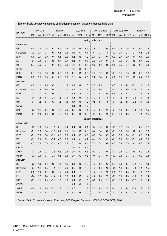**EVROSISTEM** 

| Table 6: Basic accuracy measures of inflation projections, based on first available data |        |           |           |        |           |           |        |           |                    |        |               |           |        |                 |           |        |           |           |
|------------------------------------------------------------------------------------------|--------|-----------|-----------|--------|-----------|-----------|--------|-----------|--------------------|--------|---------------|-----------|--------|-----------------|-----------|--------|-----------|-----------|
|                                                                                          |        | 2001-2016 |           |        | 2001-2008 |           |        | 2009-2016 |                    |        | 2008 and 2009 |           |        | excl. 2008-2009 |           |        | 2004-2016 |           |
| <b>HICP/CPI</b>                                                                          | ME     |           | MAE STDEV | ME     |           | MAE STDEV | ME     |           | MAE STDEV ME       |        |               | MAE STDEV | ME     |                 | MAE STDEV | ME     |           | MAE STDEV |
|                                                                                          |        |           |           |        |           |           |        |           | spring projections |        |               |           |        |                 |           |        |           |           |
| current year                                                                             |        |           |           |        |           |           |        |           |                    |        |               |           |        |                 |           |        |           |           |
| <b>BS</b>                                                                                | 0.1    | 0.4       | 0.6       | 0.3    | 0.5       | 0.6       | 0.0    | 0.4       | 0.5                | 0.2    | 0.3           | 0.4       | 0.1    | 0.5             | 0.6       | 0.1    | 0.4       | 0.5       |
| Consensus                                                                                | $-0.2$ | 0.7       | 0.7       | 0.0    | 0.6       | 0.8       | $-0.4$ | 0.7       | 0.7                | $-0.1$ | 0.7           | 1.0       | $-0.2$ | 0.7             | 0.8       | $-0.1$ | 0.6       | 0.8       |
| <b>EIPF</b>                                                                              | 0.1    | 0.7       | 0.9       | 0.4    | 0.5       | 0.6       | $-0.1$ | 0.9       | 1.0                | 0.7    | 0.7           | 0.4       | 0.0    | 0.7             | 0.9       | 0.1    | 0.7       | 0.9       |
| EC                                                                                       | $-0.1$ | 0.4       | 0.6       | 0.0    | 0.4       | 0.7       | $-0.1$ | 0.4       | 0.5                | 0.2    | 0.2           | 0.1       | $-0.1$ | 0.5             | 0.6       | 0.0    | 0.4       | 0.5       |
| <b>IMF</b>                                                                               | 0.2    | 0.6       | 0.7       | 0.4    | 0.7       | 0.9       | 0.0    | 0.4       | 0.5                | 1.0    | 1.0           | 0.8       | 0.1    | 0.5             | 0.7       | 0.3    | 0.6       | 0.8       |
| OECD                                                                                     |        |           |           |        |           |           | 0.0    | 0.3       | 0.3                |        |               |           |        |                 |           |        |           |           |
| <b>SKEP</b>                                                                              | 0.0    | 0.5       | 0.6       | 0.2    | 0.5       | 0.6       | $-0.2$ | 0.5       | 0.5                | 0.1    | 0.2           | 0.3       | $-0.1$ | 0.5             | 0.6       | 0.0    | 0.5       | 0.6       |
| <b>IMAD</b>                                                                              | 0.1    | 0.5       | 0.6       | 0.1    | 0.6       | 0.8       | 0.2    | 0.4       | 0.5                | 0.4    | 0.4           | 0.1       | 0.1    | 0.5             | 0.7       | 0.3    | 0.4       | 0.5       |
| next year                                                                                |        |           |           |        |           |           |        |           |                    |        |               |           |        |                 |           |        |           |           |
| BS                                                                                       | 0.1    | 1.1       | 1.5       | 0.5    | 1.4       | 1.8       | $-0.4$ | 0.8       | 1.0                | $-1.2$ | 1.5           | 2.1       | 0.3    | 1.1             | 1.4       | $-0.1$ | 1.1       | 1.5       |
| Consensus                                                                                | $-0.5$ | 1.3       | 1.6       | 0.0    | 1.5       | 2.0       | $-0.9$ | 1.0       | 1.1                | $-1.6$ | 1.6           | 1.3       | $-0.3$ | 1.2             | 1.6       | $-0.5$ | 1.3       | 1.6       |
| <b>EIPF</b>                                                                              | $-0.1$ | 1.7       | 2.2       | 0.9    | 2.2       | 2.7       | $-0.8$ | 1.4       | 1.4                | $-2.1$ | 2.1           | 0.0       | 0.3    | 1.6             | 2.2       | $-0.1$ | 1.7       | 2.2       |
| EC                                                                                       | $-0.5$ | 1.2       | 1.5       | $-0.4$ | 1.5       | 1.9       | $-0.5$ | 0.9       | 1.1                | $-1.2$ | 1.3           | 1.8       | $-0.4$ | 1.2             | 1.5       | $-0.2$ | 1.1       | 1.5       |
| <b>IMF</b>                                                                               | $-0.1$ | 1.2       | 1.5       | 0.3    | 1.5       | 1.8       | $-0.7$ | 0.9       | 1.0                | $-0.5$ | 1.1           | 1.5       | $-0.1$ | 1.2             | 1.6       | $-0.2$ | 1.1       | 1.5       |
| OECD                                                                                     |        |           |           |        |           |           | $-0.1$ | 0.8       | 1.0                |        |               |           |        |                 |           |        |           |           |
| <b>SKEP</b>                                                                              | $-0.3$ | 1.1       | 1.5       | 0.2    | 1.5       | 2.0       | $-0.6$ | 0.9       | 1.1                | $-1.2$ | 1.5           | 2.1       | $-0.1$ | 1.1             | 1.5       | $-0.3$ | 1.1       | 1.5       |
| <b>IMAD</b>                                                                              | $-0.1$ | 1.0       | 1.3       | 0.2    | 1.2       | 1.6       | $-0.5$ | 0.8       | 0.9                | $-0.9$ | 1.4           | 2.0       | 0.0    | 0.9             | 1.3       | $-0.1$ | 1.1       | 1.5       |
|                                                                                          |        |           |           |        |           |           |        |           | autumn projections |        |               |           |        |                 |           |        |           |           |
| current year                                                                             |        |           |           |        |           |           |        |           |                    |        |               |           |        |                 |           |        |           |           |
| <b>BS</b>                                                                                | $-0.2$ | 0.3       | 0.3       | $-0.2$ | 0.3       | 0.4       | $-0.1$ | 0.2       | 0.1                | $-0.4$ | 0.4           | 0.3       | $-0.2$ | 0.2             | 0.3       | $-0.1$ | 0.2       | 0.2       |
| Consensus                                                                                | $-0.1$ | 0.3       | 0.4       | $-0.2$ | 0.4       | 0.5       | 0.0    | 0.2       | 0.3                | $-0.4$ | 0.4           | 0.2       | $-0.1$ | 0.3             | 0.4       | 0.0    | 0.3       | 0.3       |
| <b>EIPF</b>                                                                              | $-0.1$ | 0.3       | 0.4       | $-0.1$ | 0.3       | 0.5       | $-0.1$ | 0.3       | 0.3                | $-0.3$ | 0.4           | 0.5       | $-0.1$ | 0.3             | 0.4       | $-0.1$ | 0.3       | 0.4       |
| EC                                                                                       | $-0.3$ | 0.3       | 0.4       | $-0.5$ | 0.5       | 0.6       | $-0.1$ | 0.1       | 0.2                | $-0.4$ | 0.4           | 0.5       | $-0.2$ | 0.3             | 0.4       | $-0.1$ | 0.2       | 0.3       |
| <b>IMF</b>                                                                               | 0.0    | 0.4       | 0.5       | $-0.1$ | 0.5       | 0.6       | 0.1    | 0.4       | 0.4                | 0.0    | 0.4           | 0.6       | 0.0    | 0.4             | 0.5       | 0.1    | 0.3       | 0.4       |
| OECD                                                                                     |        |           |           |        |           |           | 0.0    | 0.1       | 0.2                |        |               |           |        |                 |           |        |           |           |
| <b>SKEP</b>                                                                              | $-0.1$ | 0.3       | 0.4       | $-0.2$ | 0.3       | 0.4       | 0.0    | 0.3       | 0.3                | $-0.2$ | 0.3           | 0.4       | $-0.1$ | 0.3             | 0.4       | 0.0    | 0.2       | 0.3       |
| <b>IMAD</b>                                                                              | $-0.2$ | 0.4       | 0.4       | $-0.4$ | 0.5       | 0.5       | 0.0    | 0.2       | 0.3                | $-0.4$ | 0.4           | 0.4       | $-0.2$ | 0.4             | 0.5       | $-0.1$ | 0.2       | 0.3       |
| next year                                                                                |        |           |           |        |           |           |        |           |                    |        |               |           |        |                 |           |        |           |           |
| <b>BS</b>                                                                                | $-0.2$ | 1.0       | 1.3       | 0.0    | 1.1       | 1.5       | $-0.4$ | 0.9       | 1.0                | $-1.0$ | 1.6           | 2.3       | 0.0    | 0.9             | 1.1       | $-0.2$ | 1.0       | 1.3       |
| Consensus                                                                                | $-0.4$ | 1.1       | 1.5       | $-0.2$ | 1.5       | 2.0       | $-0.6$ | $0.8\,$   | 1.0                | $-1.6$ | 1.6           | 2.2       | $-0.2$ | 1.1             | 1.4       | $-0.3$ | 1.1       | 1.5       |
| <b>EIPF</b>                                                                              | 0.1    | 1.4       | 1.7       | 0.3    | 1.7       | 2.4       | $-0.1$ | 1.1       | 1.3                | $-1.2$ | 2.0           | 2.8       | 0.4    | 1.2             | 1.5       | 0.1    | 1.4       | 1.7       |
| EC                                                                                       | $-0.4$ | 1.2       | 1.4       | $-0.4$ | 1.4       | 1.8       | $-0.4$ | 0.9       | 1.2                | $-1.2$ | 1.6           | 2.3       | $-0.2$ | 1.1             | 1.3       | $-0.3$ | 1.1       | 1.4       |
| <b>IMF</b>                                                                               | $-0.2$ | 1.1       | 1.3       | $-0.1$ | 1.3       | 1.6       | $-0.4$ | 0.9       | 1.0                | $-0.9$ | 1.5           | 2.1       | $-0.1$ | $1.0$           | 1.3       | $-0.2$ | 1.1       | 1.4       |
| OECD                                                                                     |        |           |           |        |           |           | $-0.2$ | 0.9       | 1.1                |        |               |           |        |                 |           |        |           |           |
| <b>SKEP</b>                                                                              | $-0.4$ | 1.2       | 1.5       | $-0.1$ | 1.3       | 1.7       | $-0.6$ | 1.2       | 1.3                | $-1.0$ | 1.8           | 2.5       | $-0.3$ | 1.1             | 1.4       | $-0.3$ | 1.2       | 1.5       |
| <b>IMAD</b>                                                                              | $-0.3$ | $1.0$     | 1.3       | $-0.2$ | 1.2       | 1.6       | $-0.5$ | 0.9       | 1.0                | $-1.2$ | 1.8           | 2.5       | $-0.2$ | 0.9             | 1.1       | $-0.3$ | 1.1       | 1.4       |

*Sources: Bank of Slovenia, Consensus Economics, EIPF, European Commission (EC), IMF, OECD, SKEP, IMAD.*